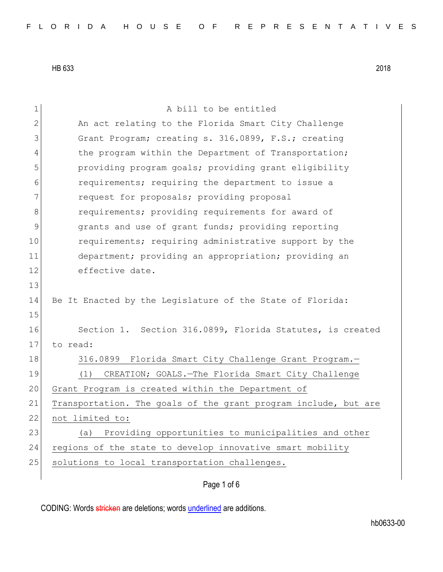1 a bill to be entitled 2 An act relating to the Florida Smart City Challenge 3 Grant Program; creating s. 316.0899, F.S.; creating 4 the program within the Department of Transportation; 5 providing program goals; providing grant eligibility 6 requirements; requiring the department to issue a 7 **1** request for proposals; providing proposal 8 **8 8 requirements;** providing requirements for award of 9 9 grants and use of grant funds; providing reporting 10 requirements; requiring administrative support by the 11 department; providing an appropriation; providing an 12 effective date. 13 14 Be It Enacted by the Legislature of the State of Florida: 15 16 Section 1. Section 316.0899, Florida Statutes, is created 17 to read: 18 316.0899 Florida Smart City Challenge Grant Program. 19 (1) CREATION; GOALS. The Florida Smart City Challenge 20 Grant Program is created within the Department of 21 Transportation. The goals of the grant program include, but are 22 not limited to: 23 (a) Providing opportunities to municipalities and other 24 regions of the state to develop innovative smart mobility 25 solutions to local transportation challenges.

Page 1 of 6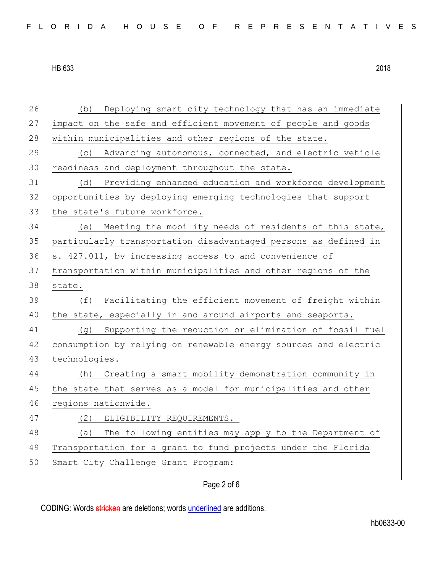26 (b) Deploying smart city technology that has an immediate 27 impact on the safe and efficient movement of people and goods 28 within municipalities and other regions of the state. 29 (c) Advancing autonomous, connected, and electric vehicle 30 readiness and deployment throughout the state. 31 (d) Providing enhanced education and workforce development 32 opportunities by deploying emerging technologies that support 33 the state's future workforce. 34 (e) Meeting the mobility needs of residents of this state, 35 particularly transportation disadvantaged persons as defined in 36 s. 427.011, by increasing access to and convenience of 37 transportation within municipalities and other regions of the 38 state. 39 (f) Facilitating the efficient movement of freight within 40 the state, especially in and around airports and seaports. 41 (g) Supporting the reduction or elimination of fossil fuel 42 consumption by relying on renewable energy sources and electric 43 technologies. 44 (h) Creating a smart mobility demonstration community in 45 the state that serves as a model for municipalities and other 46 regions nationwide. 47 (2) ELIGIBILITY REQUIREMENTS.-48 (a) The following entities may apply to the Department of 49 Transportation for a grant to fund projects under the Florida 50 Smart City Challenge Grant Program:

## Page 2 of 6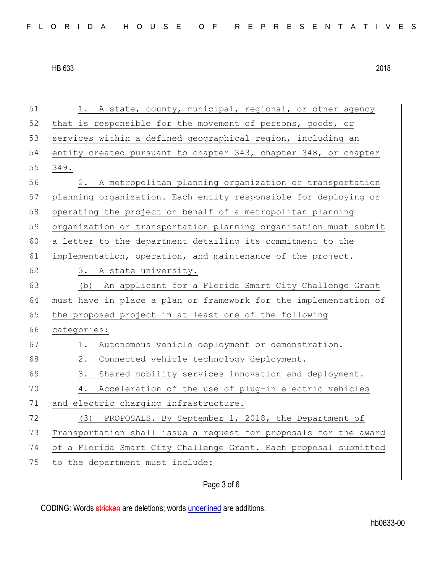51 1. A state, county, municipal, regional, or other agency 52 that is responsible for the movement of persons, goods, or 53 services within a defined geographical region, including an 54 entity created pursuant to chapter 343, chapter 348, or chapter 55 349. 56 2. A metropolitan planning organization or transportation 57 planning organization. Each entity responsible for deploying or 58 operating the project on behalf of a metropolitan planning 59 organization or transportation planning organization must submit 60 a letter to the department detailing its commitment to the 61 implementation, operation, and maintenance of the project. 62 3. A state university. 63 (b) An applicant for a Florida Smart City Challenge Grant 64 must have in place a plan or framework for the implementation of 65 the proposed project in at least one of the following 66 categories: 67 1. Autonomous vehicle deployment or demonstration. 68 2. Connected vehicle technology deployment. 69 3. Shared mobility services innovation and deployment. 70 4. Acceleration of the use of plug-in electric vehicles 71 and electric charging infrastructure. 72 (3) PROPOSALS.-By September 1, 2018, the Department of 73 Transportation shall issue a request for proposals for the award 74 of a Florida Smart City Challenge Grant. Each proposal submitted 75 to the department must include:

## Page 3 of 6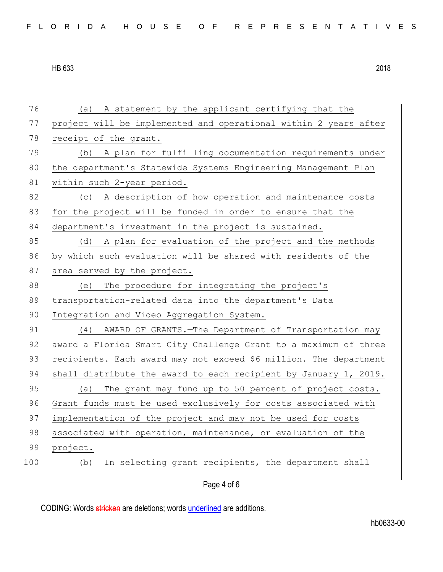76 (a) A statement by the applicant certifying that the 77 project will be implemented and operational within 2 years after 78 receipt of the grant. 79 (b) A plan for fulfilling documentation requirements under 80 the department's Statewide Systems Engineering Management Plan 81 within such 2-year period. 82 (c) A description of how operation and maintenance costs 83 for the project will be funded in order to ensure that the 84 department's investment in the project is sustained. 85 (d) A plan for evaluation of the project and the methods 86 by which such evaluation will be shared with residents of the 87 area served by the project. 88 (e) The procedure for integrating the project's 89 transportation-related data into the department's Data 90 Integration and Video Aggregation System. 91 (4) AWARD OF GRANTS. - The Department of Transportation may 92 award a Florida Smart City Challenge Grant to a maximum of three 93 recipients. Each award may not exceed \$6 million. The department 94 shall distribute the award to each recipient by January 1, 2019. 95 (a) The grant may fund up to 50 percent of project costs. 96 Grant funds must be used exclusively for costs associated with 97 implementation of the project and may not be used for costs 98 associated with operation, maintenance, or evaluation of the 99 project. 100 (b) In selecting grant recipients, the department shall

Page 4 of 6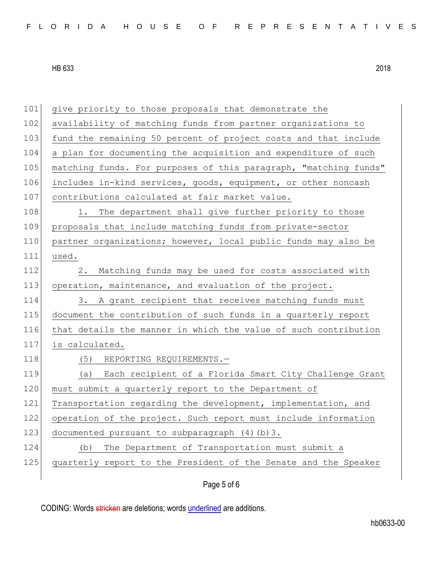| 101 | give priority to those proposals that demonstrate the            |
|-----|------------------------------------------------------------------|
| 102 | availability of matching funds from partner organizations to     |
| 103 | fund the remaining 50 percent of project costs and that include  |
| 104 | a plan for documenting the acquisition and expenditure of such   |
| 105 | matching funds. For purposes of this paragraph, "matching funds" |
| 106 | includes in-kind services, goods, equipment, or other noncash    |
| 107 | contributions calculated at fair market value.                   |
| 108 | The department shall give further priority to those<br>1.        |
| 109 | proposals that include matching funds from private-sector        |
| 110 | partner organizations; however, local public funds may also be   |
| 111 | used.                                                            |
| 112 | 2.<br>Matching funds may be used for costs associated with       |
| 113 | operation, maintenance, and evaluation of the project.           |
| 114 | 3. A grant recipient that receives matching funds must           |
| 115 | document the contribution of such funds in a quarterly report    |
| 116 | that details the manner in which the value of such contribution  |
| 117 | is calculated.                                                   |
| 118 | (5) REPORTING REQUIREMENTS.-                                     |
| 119 | (a) Each recipient of a Florida Smart City Challenge Grant       |
| 120 | must submit a quarterly report to the Department of              |
| 121 | Transportation regarding the development, implementation, and    |
| 122 | operation of the project. Such report must include information   |
| 123 | documented pursuant to subparagraph (4) (b) 3.                   |
| 124 | The Department of Transportation must submit a<br>(b)            |
| 125 | quarterly report to the President of the Senate and the Speaker  |
|     |                                                                  |

Page 5 of 6